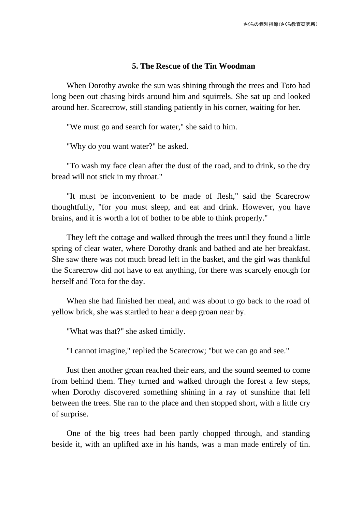## **5. The Rescue of the Tin Woodman**

When Dorothy awoke the sun was shining through the trees and Toto had long been out chasing birds around him and squirrels. She sat up and looked around her. Scarecrow, still standing patiently in his corner, waiting for her.

"We must go and search for water," she said to him.

"Why do you want water?" he asked.

"To wash my face clean after the dust of the road, and to drink, so the dry bread will not stick in my throat."

"It must be inconvenient to be made of flesh," said the Scarecrow thoughtfully, "for you must sleep, and eat and drink. However, you have brains, and it is worth a lot of bother to be able to think properly."

They left the cottage and walked through the trees until they found a little spring of clear water, where Dorothy drank and bathed and ate her breakfast. She saw there was not much bread left in the basket, and the girl was thankful the Scarecrow did not have to eat anything, for there was scarcely enough for herself and Toto for the day.

When she had finished her meal, and was about to go back to the road of yellow brick, she was startled to hear a deep groan near by.

"What was that?" she asked timidly.

"I cannot imagine," replied the Scarecrow; "but we can go and see."

Just then another groan reached their ears, and the sound seemed to come from behind them. They turned and walked through the forest a few steps, when Dorothy discovered something shining in a ray of sunshine that fell between the trees. She ran to the place and then stopped short, with a little cry of surprise.

One of the big trees had been partly chopped through, and standing beside it, with an uplifted axe in his hands, was a man made entirely of tin.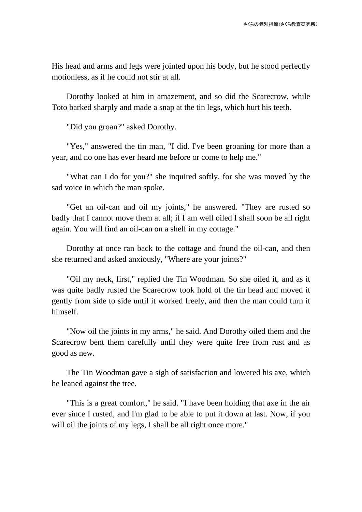His head and arms and legs were jointed upon his body, but he stood perfectly motionless, as if he could not stir at all.

Dorothy looked at him in amazement, and so did the Scarecrow, while Toto barked sharply and made a snap at the tin legs, which hurt his teeth.

"Did you groan?" asked Dorothy.

"Yes," answered the tin man, "I did. I've been groaning for more than a year, and no one has ever heard me before or come to help me."

"What can I do for you?" she inquired softly, for she was moved by the sad voice in which the man spoke.

"Get an oil-can and oil my joints," he answered. "They are rusted so badly that I cannot move them at all; if I am well oiled I shall soon be all right again. You will find an oil-can on a shelf in my cottage."

Dorothy at once ran back to the cottage and found the oil-can, and then she returned and asked anxiously, "Where are your joints?"

"Oil my neck, first," replied the Tin Woodman. So she oiled it, and as it was quite badly rusted the Scarecrow took hold of the tin head and moved it gently from side to side until it worked freely, and then the man could turn it himself.

"Now oil the joints in my arms," he said. And Dorothy oiled them and the Scarecrow bent them carefully until they were quite free from rust and as good as new.

The Tin Woodman gave a sigh of satisfaction and lowered his axe, which he leaned against the tree.

"This is a great comfort," he said. "I have been holding that axe in the air ever since I rusted, and I'm glad to be able to put it down at last. Now, if you will oil the joints of my legs, I shall be all right once more."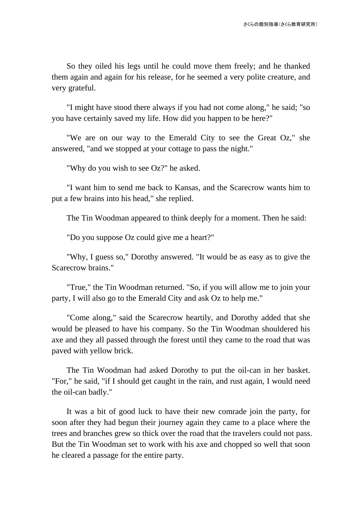So they oiled his legs until he could move them freely; and he thanked them again and again for his release, for he seemed a very polite creature, and very grateful.

"I might have stood there always if you had not come along," he said; "so you have certainly saved my life. How did you happen to be here?"

"We are on our way to the Emerald City to see the Great Oz," she answered, "and we stopped at your cottage to pass the night."

"Why do you wish to see Oz?" he asked.

"I want him to send me back to Kansas, and the Scarecrow wants him to put a few brains into his head," she replied.

The Tin Woodman appeared to think deeply for a moment. Then he said:

"Do you suppose Oz could give me a heart?"

"Why, I guess so," Dorothy answered. "It would be as easy as to give the Scarecrow brains."

"True," the Tin Woodman returned. "So, if you will allow me to join your party, I will also go to the Emerald City and ask Oz to help me."

"Come along," said the Scarecrow heartily, and Dorothy added that she would be pleased to have his company. So the Tin Woodman shouldered his axe and they all passed through the forest until they came to the road that was paved with yellow brick.

The Tin Woodman had asked Dorothy to put the oil-can in her basket. "For," he said, "if I should get caught in the rain, and rust again, I would need the oil-can badly."

It was a bit of good luck to have their new comrade join the party, for soon after they had begun their journey again they came to a place where the trees and branches grew so thick over the road that the travelers could not pass. But the Tin Woodman set to work with his axe and chopped so well that soon he cleared a passage for the entire party.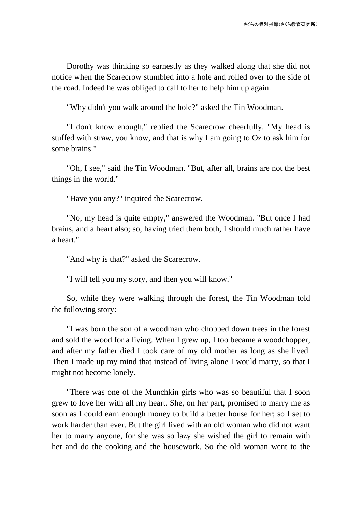Dorothy was thinking so earnestly as they walked along that she did not notice when the Scarecrow stumbled into a hole and rolled over to the side of the road. Indeed he was obliged to call to her to help him up again.

"Why didn't you walk around the hole?" asked the Tin Woodman.

"I don't know enough," replied the Scarecrow cheerfully. "My head is stuffed with straw, you know, and that is why I am going to Oz to ask him for some brains."

"Oh, I see," said the Tin Woodman. "But, after all, brains are not the best things in the world."

"Have you any?" inquired the Scarecrow.

"No, my head is quite empty," answered the Woodman. "But once I had brains, and a heart also; so, having tried them both, I should much rather have a heart."

"And why is that?" asked the Scarecrow.

"I will tell you my story, and then you will know."

So, while they were walking through the forest, the Tin Woodman told the following story:

"I was born the son of a woodman who chopped down trees in the forest and sold the wood for a living. When I grew up, I too became a woodchopper, and after my father died I took care of my old mother as long as she lived. Then I made up my mind that instead of living alone I would marry, so that I might not become lonely.

"There was one of the Munchkin girls who was so beautiful that I soon grew to love her with all my heart. She, on her part, promised to marry me as soon as I could earn enough money to build a better house for her; so I set to work harder than ever. But the girl lived with an old woman who did not want her to marry anyone, for she was so lazy she wished the girl to remain with her and do the cooking and the housework. So the old woman went to the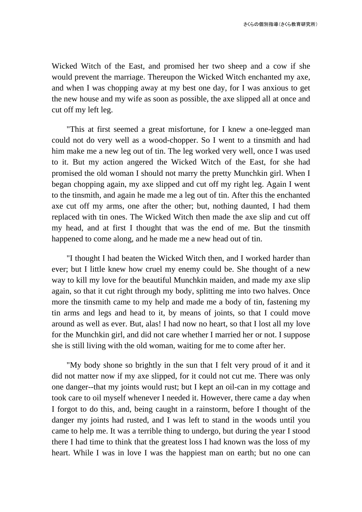Wicked Witch of the East, and promised her two sheep and a cow if she would prevent the marriage. Thereupon the Wicked Witch enchanted my axe, and when I was chopping away at my best one day, for I was anxious to get the new house and my wife as soon as possible, the axe slipped all at once and cut off my left leg.

"This at first seemed a great misfortune, for I knew a one-legged man could not do very well as a wood-chopper. So I went to a tinsmith and had him make me a new leg out of tin. The leg worked very well, once I was used to it. But my action angered the Wicked Witch of the East, for she had promised the old woman I should not marry the pretty Munchkin girl. When I began chopping again, my axe slipped and cut off my right leg. Again I went to the tinsmith, and again he made me a leg out of tin. After this the enchanted axe cut off my arms, one after the other; but, nothing daunted, I had them replaced with tin ones. The Wicked Witch then made the axe slip and cut off my head, and at first I thought that was the end of me. But the tinsmith happened to come along, and he made me a new head out of tin.

"I thought I had beaten the Wicked Witch then, and I worked harder than ever; but I little knew how cruel my enemy could be. She thought of a new way to kill my love for the beautiful Munchkin maiden, and made my axe slip again, so that it cut right through my body, splitting me into two halves. Once more the tinsmith came to my help and made me a body of tin, fastening my tin arms and legs and head to it, by means of joints, so that I could move around as well as ever. But, alas! I had now no heart, so that I lost all my love for the Munchkin girl, and did not care whether I married her or not. I suppose she is still living with the old woman, waiting for me to come after her.

"My body shone so brightly in the sun that I felt very proud of it and it did not matter now if my axe slipped, for it could not cut me. There was only one danger--that my joints would rust; but I kept an oil-can in my cottage and took care to oil myself whenever I needed it. However, there came a day when I forgot to do this, and, being caught in a rainstorm, before I thought of the danger my joints had rusted, and I was left to stand in the woods until you came to help me. It was a terrible thing to undergo, but during the year I stood there I had time to think that the greatest loss I had known was the loss of my heart. While I was in love I was the happiest man on earth; but no one can